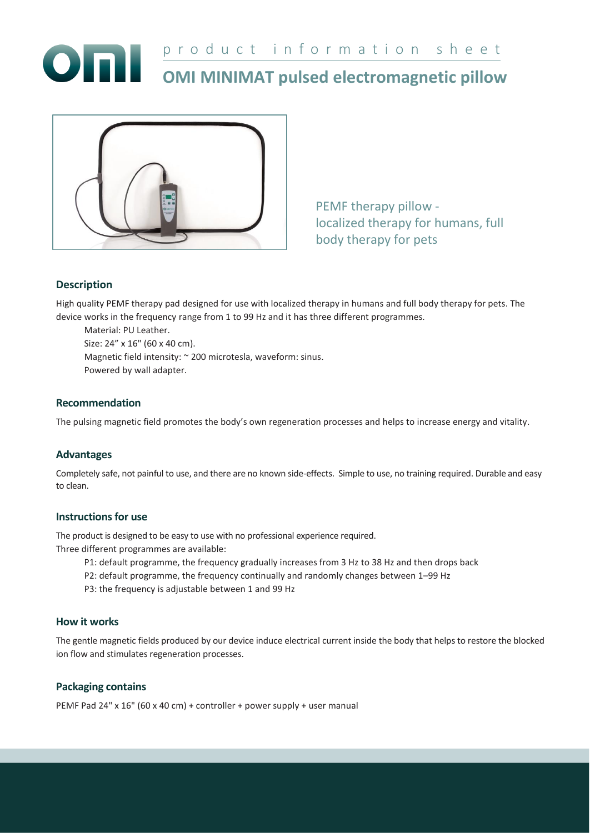



PEMF therapy pillow localized therapy for humans, full body therapy for pets

# **Description**

High quality PEMF therapy pad designed for use with localized therapy in humans and full body therapy for pets. The device works in the frequency range from 1 to 99 Hz and it has three different programmes.

Material: PU Leather. Size: 24" x 16" (60 x 40 cm). Magnetic field intensity: ~ 200 microtesla, waveform: sinus. Powered by wall adapter.

#### **Recommendation**

The pulsing magnetic field promotes the body's own regeneration processes and helps to increase energy and vitality.

## **Advantages**

Completely safe, not painful to use, and there are no known side-effects. Simple to use, no training required. Durable and easy to clean.

#### **Instructions for use**

The product is designed to be easy to use with no professional experience required. Three different programmes are available:

- P1: default programme, the frequency gradually increases from 3 Hz to 38 Hz and then drops back
- P2: default programme, the frequency continually and randomly changes between 1–99 Hz
- P3: the frequency is adjustable between 1 and 99 Hz

#### **How it works**

The gentle magnetic fields produced by our device induce electrical current inside the body that helps to restore the blocked ion flow and stimulates regeneration processes.

## **Packaging contains**

PEMF Pad 24" x 16" (60 x 40 cm) + controller + power supply + user manual